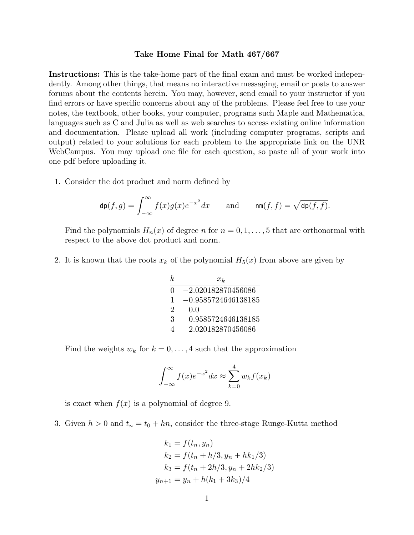## **Take Home Final for Math 467/667**

**Instructions:** This is the take-home part of the final exam and must be worked independently. Among other things, that means no interactive messaging, email or posts to answer forums about the contents herein. You may, however, send email to your instructor if you find errors or have specific concerns about any of the problems. Please feel free to use your notes, the textbook, other books, your computer, programs such Maple and Mathematica, languages such as C and Julia as well as web searches to access existing online information and documentation. Please upload all work (including computer programs, scripts and output) related to your solutions for each problem to the appropriate link on the UNR WebCampus. You may upload one file for each question, so paste all of your work into one pdf before uploading it.

1. Consider the dot product and norm defined by

$$
\operatorname{dp}(f,g) = \int_{-\infty}^{\infty} f(x)g(x)e^{-x^2}dx \quad \text{and} \quad \operatorname{nm}(f,f) = \sqrt{\operatorname{dp}(f,f)}.
$$

Find the polynomials  $H_n(x)$  of degree *n* for  $n = 0, 1, \ldots, 5$  that are orthonormal with respect to the above dot product and norm.

2. It is known that the roots  $x_k$  of the polynomial  $H_5(x)$  from above are given by

| k.                          | $x_k$                 |
|-----------------------------|-----------------------|
| 0                           | $-2.020182870456086$  |
| $\mathbf{1}$                | $-0.9585724646138185$ |
| $\mathcal{D}_{\mathcal{L}}$ | 0.0                   |
| 3                           | 0.9585724646138185    |
| Δ                           | 2.020182870456086     |

Find the weights  $w_k$  for  $k = 0, \ldots, 4$  such that the approximation

$$
\int_{-\infty}^{\infty} f(x)e^{-x^2} dx \approx \sum_{k=0}^{4} w_k f(x_k)
$$

is exact when  $f(x)$  is a polynomial of degree 9.

3. Given  $h > 0$  and  $t_n = t_0 + hn$ , consider the three-stage Runge-Kutta method

$$
k_1 = f(t_n, y_n)
$$
  
\n
$$
k_2 = f(t_n + h/3, y_n + hk_1/3)
$$
  
\n
$$
k_3 = f(t_n + 2h/3, y_n + 2hk_2/3)
$$
  
\n
$$
y_{n+1} = y_n + h(k_1 + 3k_3)/4
$$